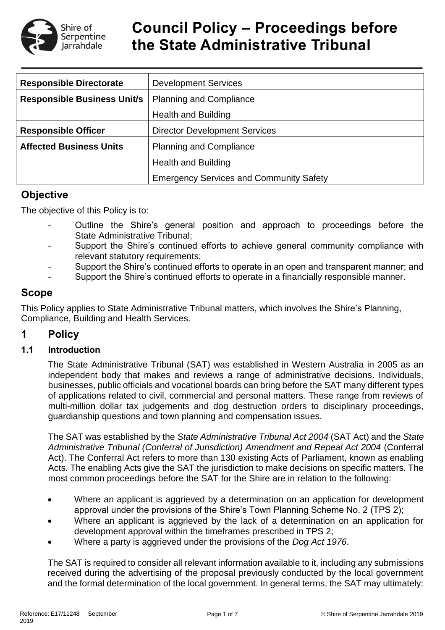

# **Council Policy – Proceedings before the State Administrative Tribunal**

| <b>Responsible Directorate</b>     | <b>Development Services</b>                    |  |  |  |
|------------------------------------|------------------------------------------------|--|--|--|
| <b>Responsible Business Unit/s</b> | <b>Planning and Compliance</b>                 |  |  |  |
|                                    | <b>Health and Building</b>                     |  |  |  |
| <b>Responsible Officer</b>         | <b>Director Development Services</b>           |  |  |  |
| <b>Affected Business Units</b>     | <b>Planning and Compliance</b>                 |  |  |  |
|                                    | <b>Health and Building</b>                     |  |  |  |
|                                    | <b>Emergency Services and Community Safety</b> |  |  |  |

# **Objective**

The objective of this Policy is to:

- Outline the Shire's general position and approach to proceedings before the State Administrative Tribunal;
- Support the Shire's continued efforts to achieve general community compliance with relevant statutory requirements;
- Support the Shire's continued efforts to operate in an open and transparent manner; and
- Support the Shire's continued efforts to operate in a financially responsible manner.

# **Scope**

This Policy applies to State Administrative Tribunal matters, which involves the Shire's Planning, Compliance, Building and Health Services.

# **1 Policy**

#### **1.1 Introduction**

The State Administrative Tribunal (SAT) was established in Western Australia in 2005 as an independent body that makes and reviews a range of administrative decisions. Individuals, businesses, public officials and vocational boards can bring before the SAT many different types of applications related to civil, commercial and personal matters. These range from reviews of multi-million dollar tax judgements and dog destruction orders to disciplinary proceedings, guardianship questions and town planning and compensation issues.

The SAT was established by the *State Administrative Tribunal Act 2004* (SAT Act) and the *State Administrative Tribunal (Conferral of Jurisdiction) Amendment and Repeal Act 2004* (Conferral Act). The Conferral Act refers to more than 130 existing Acts of Parliament, known as enabling Acts. The enabling Acts give the SAT the jurisdiction to make decisions on specific matters. The most common proceedings before the SAT for the Shire are in relation to the following:

- Where an applicant is aggrieved by a determination on an application for development approval under the provisions of the Shire's Town Planning Scheme No. 2 (TPS 2);
- Where an applicant is aggrieved by the lack of a determination on an application for development approval within the timeframes prescribed in TPS 2;
- Where a party is aggrieved under the provisions of the *Dog Act 1976*.

The SAT is required to consider all relevant information available to it, including any submissions received during the advertising of the proposal previously conducted by the local government and the formal determination of the local government. In general terms, the SAT may ultimately: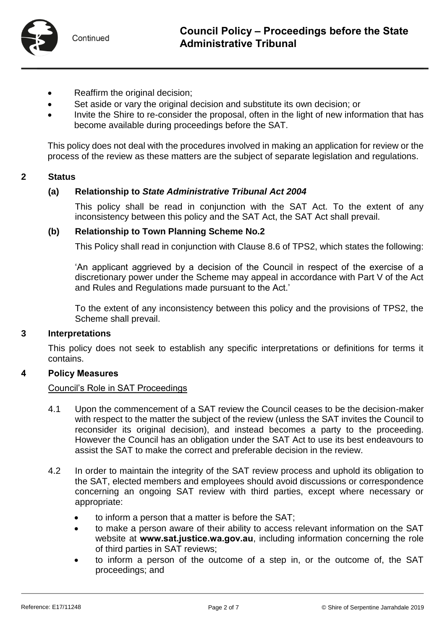

- Reaffirm the original decision;
- Set aside or vary the original decision and substitute its own decision; or
- Invite the Shire to re-consider the proposal, often in the light of new information that has become available during proceedings before the SAT.

This policy does not deal with the procedures involved in making an application for review or the process of the review as these matters are the subject of separate legislation and regulations.

#### **2 Status**

#### **(a) Relationship to** *State Administrative Tribunal Act 2004*

This policy shall be read in conjunction with the SAT Act. To the extent of any inconsistency between this policy and the SAT Act, the SAT Act shall prevail.

#### **(b) Relationship to Town Planning Scheme No.2**

This Policy shall read in conjunction with Clause 8.6 of TPS2, which states the following:

'An applicant aggrieved by a decision of the Council in respect of the exercise of a discretionary power under the Scheme may appeal in accordance with Part V of the Act and Rules and Regulations made pursuant to the Act.'

To the extent of any inconsistency between this policy and the provisions of TPS2, the Scheme shall prevail.

#### **3 Interpretations**

This policy does not seek to establish any specific interpretations or definitions for terms it contains.

#### **4 Policy Measures**

#### Council's Role in SAT Proceedings

- 4.1 Upon the commencement of a SAT review the Council ceases to be the decision-maker with respect to the matter the subject of the review (unless the SAT invites the Council to reconsider its original decision), and instead becomes a party to the proceeding. However the Council has an obligation under the SAT Act to use its best endeavours to assist the SAT to make the correct and preferable decision in the review.
- 4.2 In order to maintain the integrity of the SAT review process and uphold its obligation to the SAT, elected members and employees should avoid discussions or correspondence concerning an ongoing SAT review with third parties, except where necessary or appropriate:
	- to inform a person that a matter is before the SAT;
	- to make a person aware of their ability to access relevant information on the SAT website at **[www.sat.justice.wa.gov.au](http://www.sat.justice.wa.gov.au/)**, including information concerning the role of third parties in SAT reviews;
	- to inform a person of the outcome of a step in, or the outcome of, the SAT proceedings; and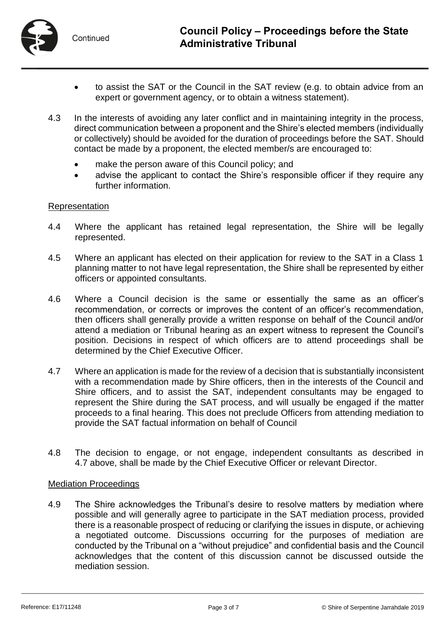

- to assist the SAT or the Council in the SAT review (e.g. to obtain advice from an expert or government agency, or to obtain a witness statement).
- 4.3 In the interests of avoiding any later conflict and in maintaining integrity in the process, direct communication between a proponent and the Shire's elected members (individually or collectively) should be avoided for the duration of proceedings before the SAT. Should contact be made by a proponent, the elected member/s are encouraged to:
	- make the person aware of this Council policy; and
	- advise the applicant to contact the Shire's responsible officer if they require any further information.

#### Representation

- 4.4 Where the applicant has retained legal representation, the Shire will be legally represented.
- 4.5 Where an applicant has elected on their application for review to the SAT in a Class 1 planning matter to not have legal representation, the Shire shall be represented by either officers or appointed consultants.
- 4.6 Where a Council decision is the same or essentially the same as an officer's recommendation, or corrects or improves the content of an officer's recommendation, then officers shall generally provide a written response on behalf of the Council and/or attend a mediation or Tribunal hearing as an expert witness to represent the Council's position. Decisions in respect of which officers are to attend proceedings shall be determined by the Chief Executive Officer.
- 4.7 Where an application is made for the review of a decision that is substantially inconsistent with a recommendation made by Shire officers, then in the interests of the Council and Shire officers, and to assist the SAT, independent consultants may be engaged to represent the Shire during the SAT process, and will usually be engaged if the matter proceeds to a final hearing. This does not preclude Officers from attending mediation to provide the SAT factual information on behalf of Council
- 4.8 The decision to engage, or not engage, independent consultants as described in 4.7 above, shall be made by the Chief Executive Officer or relevant Director.

#### Mediation Proceedings

4.9 The Shire acknowledges the Tribunal's desire to resolve matters by mediation where possible and will generally agree to participate in the SAT mediation process, provided there is a reasonable prospect of reducing or clarifying the issues in dispute, or achieving a negotiated outcome. Discussions occurring for the purposes of mediation are conducted by the Tribunal on a "without prejudice" and confidential basis and the Council acknowledges that the content of this discussion cannot be discussed outside the mediation session.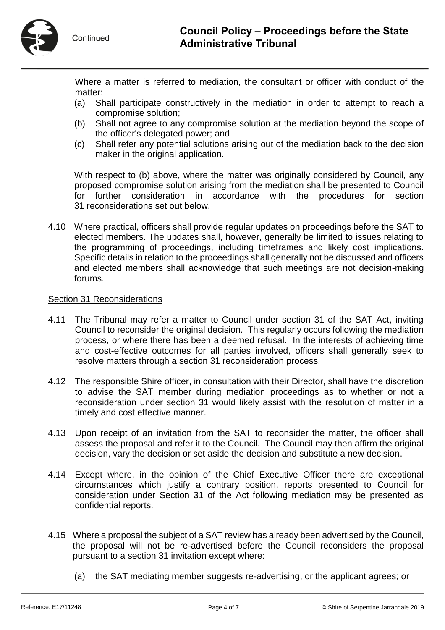

- (a) Shall participate constructively in the mediation in order to attempt to reach a compromise solution;
- (b) Shall not agree to any compromise solution at the mediation beyond the scope of the officer's delegated power; and
- (c) Shall refer any potential solutions arising out of the mediation back to the decision maker in the original application.

With respect to (b) above, where the matter was originally considered by Council, any proposed compromise solution arising from the mediation shall be presented to Council for further consideration in accordance with the procedures for section 31 reconsiderations set out below.

4.10 Where practical, officers shall provide regular updates on proceedings before the SAT to elected members. The updates shall, however, generally be limited to issues relating to the programming of proceedings, including timeframes and likely cost implications. Specific details in relation to the proceedings shall generally not be discussed and officers and elected members shall acknowledge that such meetings are not decision-making forums.

#### Section 31 Reconsiderations

- 4.11 The Tribunal may refer a matter to Council under section 31 of the SAT Act, inviting Council to reconsider the original decision. This regularly occurs following the mediation process, or where there has been a deemed refusal. In the interests of achieving time and cost-effective outcomes for all parties involved, officers shall generally seek to resolve matters through a section 31 reconsideration process.
- 4.12 The responsible Shire officer, in consultation with their Director, shall have the discretion to advise the SAT member during mediation proceedings as to whether or not a reconsideration under section 31 would likely assist with the resolution of matter in a timely and cost effective manner.
- 4.13 Upon receipt of an invitation from the SAT to reconsider the matter, the officer shall assess the proposal and refer it to the Council. The Council may then affirm the original decision, vary the decision or set aside the decision and substitute a new decision.
- 4.14 Except where, in the opinion of the Chief Executive Officer there are exceptional circumstances which justify a contrary position, reports presented to Council for consideration under Section 31 of the Act following mediation may be presented as confidential reports.
- 4.15 Where a proposal the subject of a SAT review has already been advertised by the Council, the proposal will not be re-advertised before the Council reconsiders the proposal pursuant to a section 31 invitation except where:
	- (a) the SAT mediating member suggests re-advertising, or the applicant agrees; or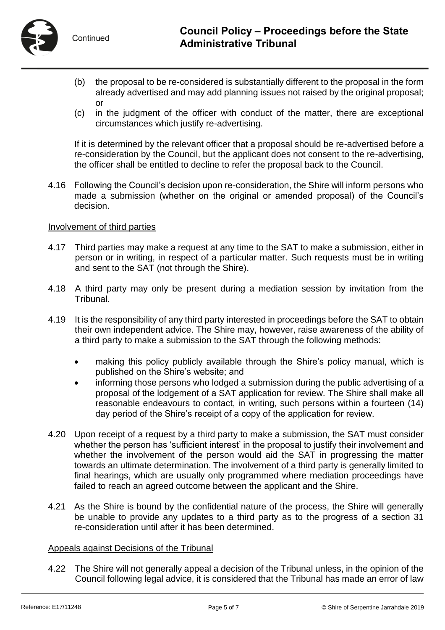- (b) the proposal to be re-considered is substantially different to the proposal in the form already advertised and may add planning issues not raised by the original proposal; or
- (c) in the judgment of the officer with conduct of the matter, there are exceptional circumstances which justify re-advertising.

If it is determined by the relevant officer that a proposal should be re-advertised before a re-consideration by the Council, but the applicant does not consent to the re-advertising, the officer shall be entitled to decline to refer the proposal back to the Council.

4.16 Following the Council's decision upon re-consideration, the Shire will inform persons who made a submission (whether on the original or amended proposal) of the Council's decision.

#### Involvement of third parties

- 4.17 Third parties may make a request at any time to the SAT to make a submission, either in person or in writing, in respect of a particular matter. Such requests must be in writing and sent to the SAT (not through the Shire).
- 4.18 A third party may only be present during a mediation session by invitation from the Tribunal.
- 4.19 It is the responsibility of any third party interested in proceedings before the SAT to obtain their own independent advice. The Shire may, however, raise awareness of the ability of a third party to make a submission to the SAT through the following methods:
	- making this policy publicly available through the Shire's policy manual, which is published on the Shire's website; and
	- informing those persons who lodged a submission during the public advertising of a proposal of the lodgement of a SAT application for review. The Shire shall make all reasonable endeavours to contact, in writing, such persons within a fourteen (14) day period of the Shire's receipt of a copy of the application for review.
- 4.20 Upon receipt of a request by a third party to make a submission, the SAT must consider whether the person has 'sufficient interest' in the proposal to justify their involvement and whether the involvement of the person would aid the SAT in progressing the matter towards an ultimate determination. The involvement of a third party is generally limited to final hearings, which are usually only programmed where mediation proceedings have failed to reach an agreed outcome between the applicant and the Shire.
- 4.21 As the Shire is bound by the confidential nature of the process, the Shire will generally be unable to provide any updates to a third party as to the progress of a section 31 re-consideration until after it has been determined.

#### Appeals against Decisions of the Tribunal

4.22 The Shire will not generally appeal a decision of the Tribunal unless, in the opinion of the Council following legal advice, it is considered that the Tribunal has made an error of law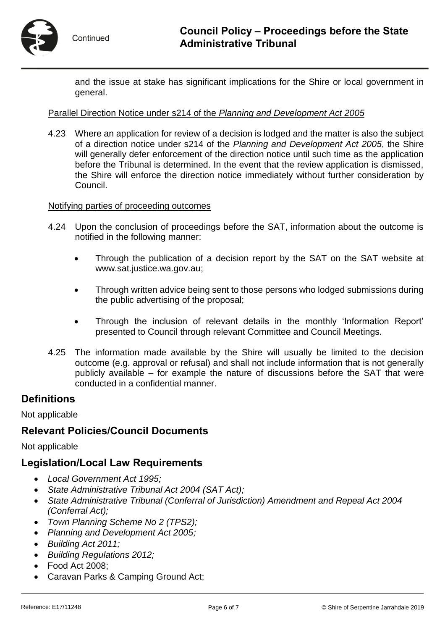

and the issue at stake has significant implications for the Shire or local government in general.

#### Parallel Direction Notice under s214 of the *Planning and Development Act 2005*

4.23 Where an application for review of a decision is lodged and the matter is also the subject of a direction notice under s214 of the *Planning and Development Act 2005*, the Shire will generally defer enforcement of the direction notice until such time as the application before the Tribunal is determined. In the event that the review application is dismissed, the Shire will enforce the direction notice immediately without further consideration by Council.

#### Notifying parties of proceeding outcomes

- 4.24 Upon the conclusion of proceedings before the SAT, information about the outcome is notified in the following manner:
	- Through the publication of a decision report by the SAT on the SAT website at [www.sat.justice.wa.gov.au;](http://www.sat.justice.wa.gov.au/)
	- Through written advice being sent to those persons who lodged submissions during the public advertising of the proposal;
	- Through the inclusion of relevant details in the monthly 'Information Report' presented to Council through relevant Committee and Council Meetings.
- 4.25 The information made available by the Shire will usually be limited to the decision outcome (e.g. approval or refusal) and shall not include information that is not generally publicly available – for example the nature of discussions before the SAT that were conducted in a confidential manner.

## **Definitions**

Not applicable

## **Relevant Policies/Council Documents**

Not applicable

## **Legislation/Local Law Requirements**

- *Local Government Act 1995;*
- *State Administrative Tribunal Act 2004 (SAT Act);*
- *State Administrative Tribunal (Conferral of Jurisdiction) Amendment and Repeal Act 2004 (Conferral Act);*
- *Town Planning Scheme No 2 (TPS2);*
- *Planning and Development Act 2005;*
- *Building Act 2011;*
- *Building Regulations 2012;*
- Food Act 2008;
- Caravan Parks & Camping Ground Act;